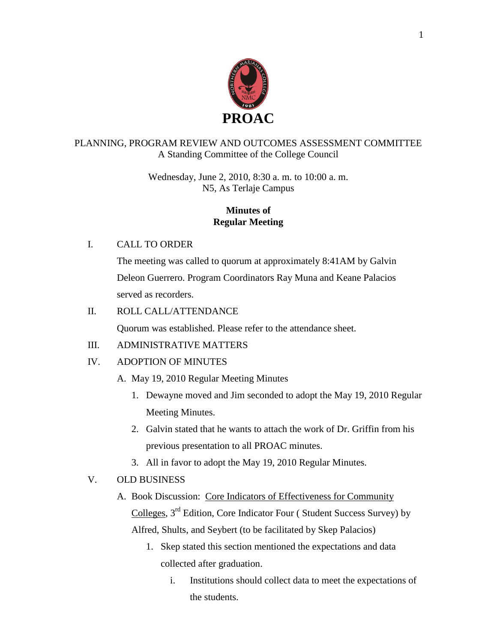

### PLANNING, PROGRAM REVIEW AND OUTCOMES ASSESSMENT COMMITTEE A Standing Committee of the College Council

Wednesday, June 2, 2010, 8:30 a. m. to 10:00 a. m. N5, As Terlaje Campus

### **Minutes of Regular Meeting**

### I. CALL TO ORDER

The meeting was called to quorum at approximately 8:41AM by Galvin Deleon Guerrero. Program Coordinators Ray Muna and Keane Palacios served as recorders.

### II. ROLL CALL/ATTENDANCE

Quorum was established. Please refer to the attendance sheet.

# III. ADMINISTRATIVE MATTERS

# IV. ADOPTION OF MINUTES

- A. May 19, 2010 Regular Meeting Minutes
	- 1. Dewayne moved and Jim seconded to adopt the May 19, 2010 Regular Meeting Minutes.
	- 2. Galvin stated that he wants to attach the work of Dr. Griffin from his previous presentation to all PROAC minutes.
	- 3. All in favor to adopt the May 19, 2010 Regular Minutes.

# V. OLD BUSINESS

- A. Book Discussion: Core Indicators of Effectiveness for Community Colleges, 3rd Edition, Core Indicator Four ( Student Success Survey) by Alfred, Shults, and Seybert (to be facilitated by Skep Palacios)
	- 1. Skep stated this section mentioned the expectations and data collected after graduation.
		- i. Institutions should collect data to meet the expectations of the students.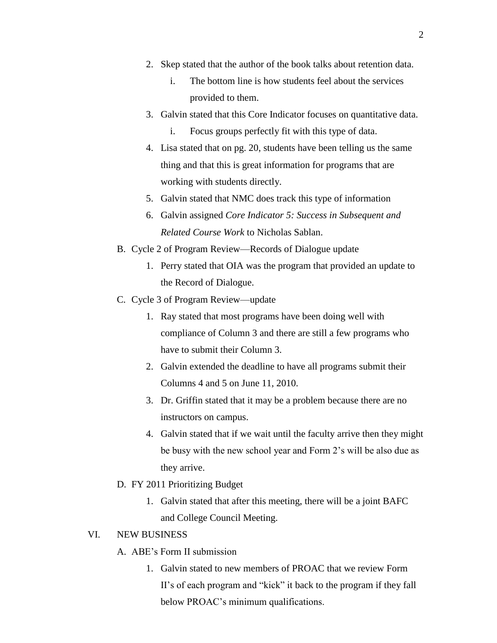- 2. Skep stated that the author of the book talks about retention data.
	- i. The bottom line is how students feel about the services provided to them.
- 3. Galvin stated that this Core Indicator focuses on quantitative data.
	- i. Focus groups perfectly fit with this type of data.
- 4. Lisa stated that on pg. 20, students have been telling us the same thing and that this is great information for programs that are working with students directly.
- 5. Galvin stated that NMC does track this type of information
- 6. Galvin assigned *Core Indicator 5: Success in Subsequent and Related Course Work* to Nicholas Sablan.
- B. Cycle 2 of Program Review—Records of Dialogue update
	- 1. Perry stated that OIA was the program that provided an update to the Record of Dialogue.
- C. Cycle 3 of Program Review—update
	- 1. Ray stated that most programs have been doing well with compliance of Column 3 and there are still a few programs who have to submit their Column 3.
	- 2. Galvin extended the deadline to have all programs submit their Columns 4 and 5 on June 11, 2010.
	- 3. Dr. Griffin stated that it may be a problem because there are no instructors on campus.
	- 4. Galvin stated that if we wait until the faculty arrive then they might be busy with the new school year and Form 2's will be also due as they arrive.
- D. FY 2011 Prioritizing Budget
	- 1. Galvin stated that after this meeting, there will be a joint BAFC and College Council Meeting.

#### VI. NEW BUSINESS

- A. ABE's Form II submission
	- 1. Galvin stated to new members of PROAC that we review Form II's of each program and "kick" it back to the program if they fall below PROAC's minimum qualifications.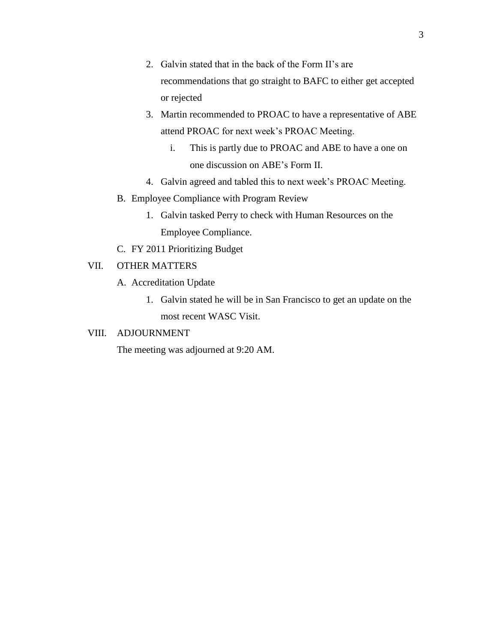- 2. Galvin stated that in the back of the Form II's are recommendations that go straight to BAFC to either get accepted or rejected
- 3. Martin recommended to PROAC to have a representative of ABE attend PROAC for next week's PROAC Meeting.
	- i. This is partly due to PROAC and ABE to have a one on one discussion on ABE's Form II.
- 4. Galvin agreed and tabled this to next week's PROAC Meeting.
- B. Employee Compliance with Program Review
	- 1. Galvin tasked Perry to check with Human Resources on the Employee Compliance.
- C. FY 2011 Prioritizing Budget

### VII. OTHER MATTERS

- A. Accreditation Update
	- 1. Galvin stated he will be in San Francisco to get an update on the most recent WASC Visit.

### VIII. ADJOURNMENT

The meeting was adjourned at 9:20 AM.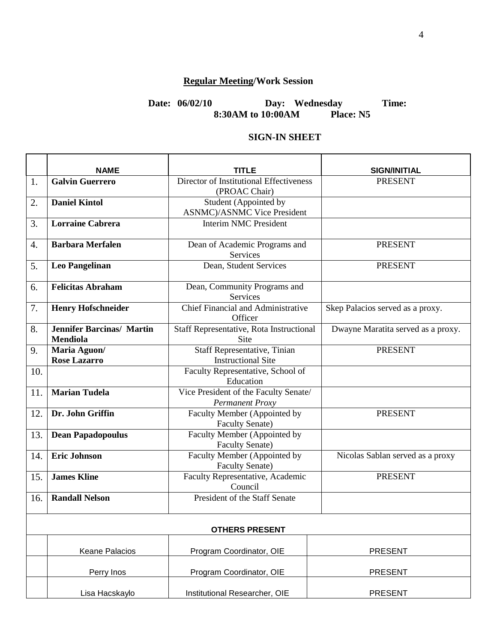# **Regular Meeting/Work Session**

### **Date: 06/02/10 Day: Wednesday Time: 8:30AM to 10:00AM Place: N5**

### **SIGN-IN SHEET**

|     | <b>NAME</b>                                         | TITLE                                                        | <b>SIGN/INITIAL</b>                |  |  |
|-----|-----------------------------------------------------|--------------------------------------------------------------|------------------------------------|--|--|
| 1.  | <b>Galvin Guerrero</b>                              | Director of Institutional Effectiveness<br>(PROAC Chair)     | <b>PRESENT</b>                     |  |  |
| 2.  | <b>Daniel Kintol</b>                                | Student (Appointed by<br><b>ASNMC</b> )/ASNMC Vice President |                                    |  |  |
| 3.  | <b>Lorraine Cabrera</b>                             | <b>Interim NMC President</b>                                 |                                    |  |  |
| 4.  | <b>Barbara Merfalen</b>                             | Dean of Academic Programs and<br>Services                    | <b>PRESENT</b>                     |  |  |
| 5.  | <b>Leo Pangelinan</b>                               | Dean, Student Services                                       | <b>PRESENT</b>                     |  |  |
| 6.  | <b>Felicitas Abraham</b>                            | Dean, Community Programs and<br>Services                     |                                    |  |  |
| 7.  | <b>Henry Hofschneider</b>                           | <b>Chief Financial and Administrative</b><br>Officer         | Skep Palacios served as a proxy.   |  |  |
| 8.  | <b>Jennifer Barcinas/ Martin</b><br><b>Mendiola</b> | Staff Representative, Rota Instructional<br>Site             | Dwayne Maratita served as a proxy. |  |  |
| 9.  | Maria Aguon/<br><b>Rose Lazarro</b>                 | Staff Representative, Tinian<br><b>Instructional Site</b>    | <b>PRESENT</b>                     |  |  |
| 10. |                                                     | Faculty Representative, School of<br>Education               |                                    |  |  |
| 11. | <b>Marian Tudela</b>                                | Vice President of the Faculty Senate/<br>Permanent Proxy     |                                    |  |  |
| 12. | Dr. John Griffin                                    | Faculty Member (Appointed by<br><b>Faculty Senate)</b>       | <b>PRESENT</b>                     |  |  |
| 13. | <b>Dean Papadopoulus</b>                            | Faculty Member (Appointed by<br><b>Faculty Senate)</b>       |                                    |  |  |
| 14. | <b>Eric Johnson</b>                                 | Faculty Member (Appointed by<br><b>Faculty Senate)</b>       | Nicolas Sablan served as a proxy   |  |  |
| 15. | <b>James Kline</b>                                  | Faculty Representative, Academic<br>Council                  | <b>PRESENT</b>                     |  |  |
| 16. | <b>Randall Nelson</b>                               | President of the Staff Senate                                |                                    |  |  |
|     | <b>OTHERS PRESENT</b>                               |                                                              |                                    |  |  |
|     | <b>Keane Palacios</b>                               | Program Coordinator, OIE                                     | <b>PRESENT</b>                     |  |  |
|     | Perry Inos                                          | Program Coordinator, OIE                                     | <b>PRESENT</b>                     |  |  |
|     | Lisa Hacskaylo                                      | Institutional Researcher, OIE                                | <b>PRESENT</b>                     |  |  |